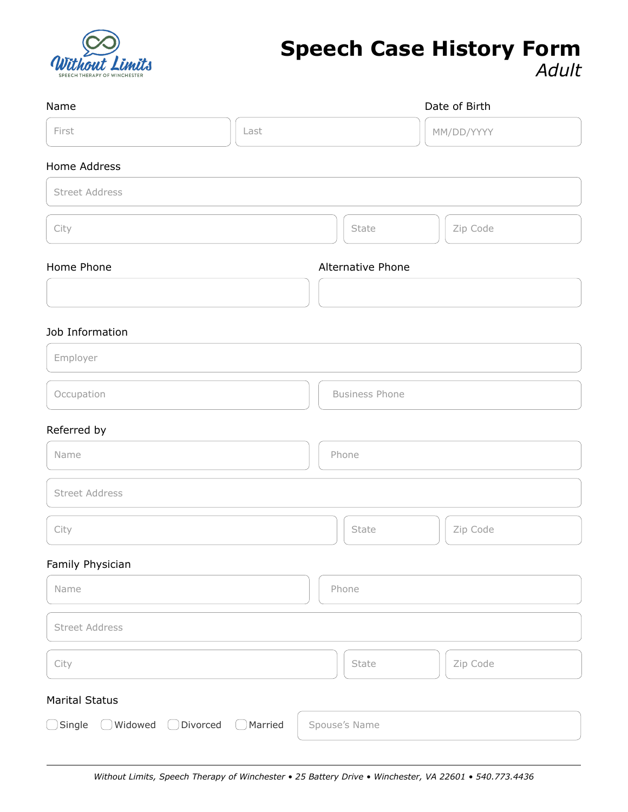

# **Speech Case History Form** *Adult*

| Name                                                | Date of Birth         |
|-----------------------------------------------------|-----------------------|
| First<br>Last                                       | MM/DD/YYYY            |
| Home Address                                        |                       |
| <b>Street Address</b>                               |                       |
| City                                                | Zip Code<br>State     |
| Home Phone                                          | Alternative Phone     |
|                                                     |                       |
| Job Information                                     |                       |
| Employer                                            |                       |
| Occupation                                          | <b>Business Phone</b> |
| Referred by                                         |                       |
| Name                                                | Phone                 |
| <b>Street Address</b>                               |                       |
| City                                                | State<br>Zip Code     |
| Family Physician                                    |                       |
| Name                                                | Phone                 |
| <b>Street Address</b>                               |                       |
| City                                                | Zip Code<br>State     |
| <b>Marital Status</b>                               |                       |
| ◯ Single ◯ Widowed ◯ Divorced<br>$\bigcirc$ Married | Spouse's Name         |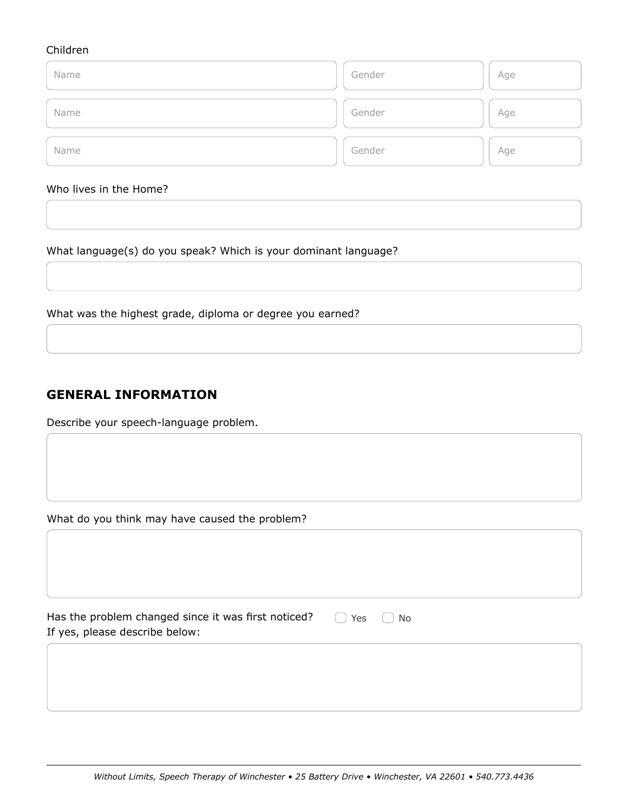#### Children

| Name | Gender | Age |
|------|--------|-----|
| Name | Gender | Age |
| Name | Gender | Age |

#### Who lives in the Home?

What language(s) do you speak? Which is your dominant language?

What was the highest grade, diploma or degree you earned?

## **GENERAL INFORMATION**

Describe your speech-language problem.

What do you think may have caused the problem?

| Has the problem changed since it was first noticed? |  |  |
|-----------------------------------------------------|--|--|
| If yes, please describe below:                      |  |  |

◯ Yes ◯ No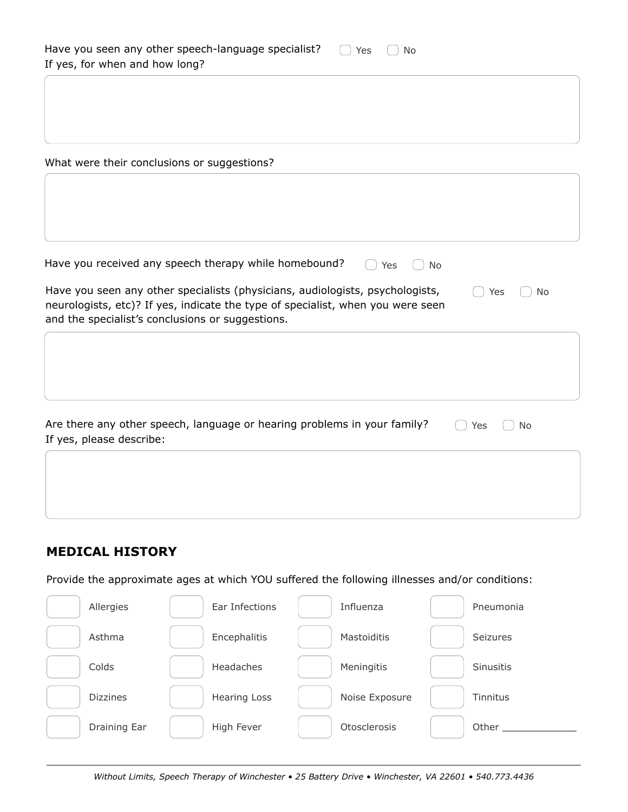| Have you seen any other speech-language specialist? $\bigcap$ Yes $\bigcap$ No |  |  |
|--------------------------------------------------------------------------------|--|--|
| If yes, for when and how long?                                                 |  |  |

What were their conclusions or suggestions?

| Have you received any speech therapy while homebound?<br>Yes<br>No                                                                                                                                                   |            |  |
|----------------------------------------------------------------------------------------------------------------------------------------------------------------------------------------------------------------------|------------|--|
| Have you seen any other specialists (physicians, audiologists, psychologists,<br>neurologists, etc)? If yes, indicate the type of specialist, when you were seen<br>and the specialist's conclusions or suggestions. | Yes<br>No. |  |
|                                                                                                                                                                                                                      |            |  |

| Are there any other speech, language or hearing problems in your family? | $\bigcap$ Yes $\bigcap$ No |  |
|--------------------------------------------------------------------------|----------------------------|--|
| If yes, please describe:                                                 |                            |  |

#### **MEDICAL HISTORY**

Provide the approximate ages at which YOU suffered the following illnesses and/or conditions:

| Allergies       | Ear Infections      | Influenza      | Pneumonia        |
|-----------------|---------------------|----------------|------------------|
| Asthma          | Encephalitis        | Mastoiditis    | <b>Seizures</b>  |
| Colds           | Headaches           | Meningitis     | <b>Sinusitis</b> |
| <b>Dizzines</b> | <b>Hearing Loss</b> | Noise Exposure | Tinnitus         |
| Draining Ear    | High Fever          | Otosclerosis   | Other            |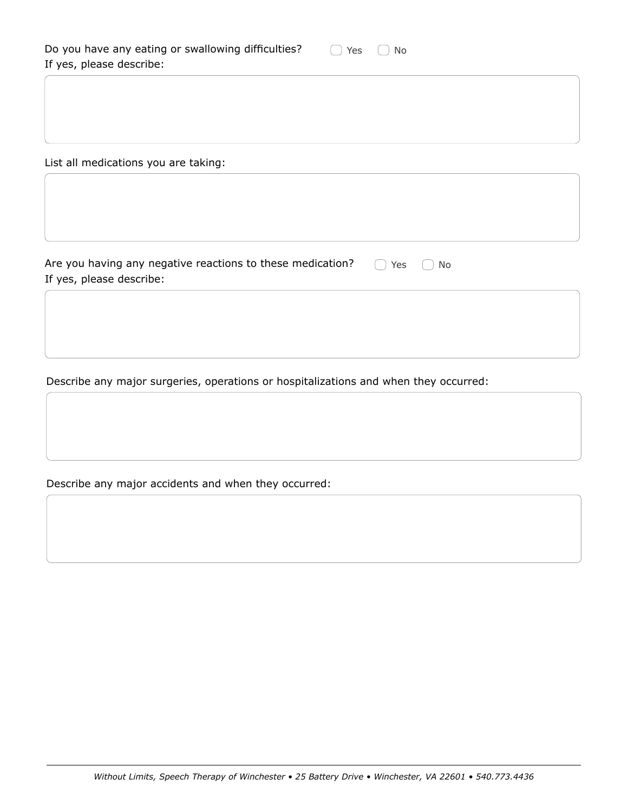| Do you have any eating or swallowing difficulties? | $\bigcap$ Yes $\bigcap$ No |  |  |
|----------------------------------------------------|----------------------------|--|--|
| If yes, please describe:                           |                            |  |  |

List all medications you are taking:

Are you having any negative reactions to these medication? If yes, please describe: ◯ Yes ◯ No

Describe any major surgeries, operations or hospitalizations and when they occurred:

Describe any major accidents and when they occurred: